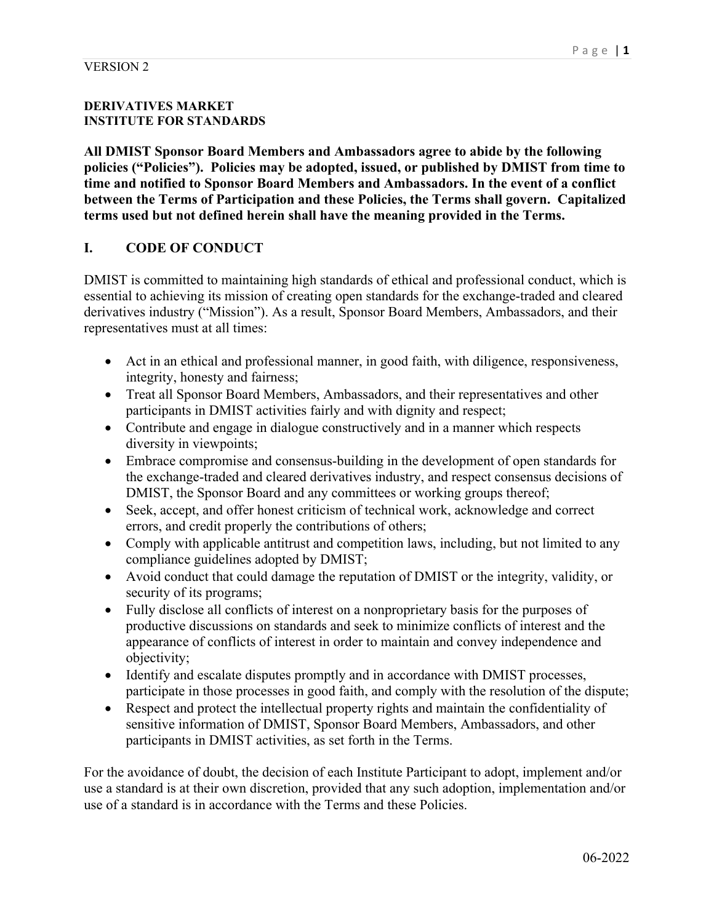## **DERIVATIVES MARKET INSTITUTE FOR STANDARDS**

**All DMIST Sponsor Board Members and Ambassadors agree to abide by the following policies ("Policies"). Policies may be adopted, issued, or published by DMIST from time to time and notified to Sponsor Board Members and Ambassadors. In the event of a conflict between the Terms of Participation and these Policies, the Terms shall govern. Capitalized terms used but not defined herein shall have the meaning provided in the Terms.** 

## **I. CODE OF CONDUCT**

DMIST is committed to maintaining high standards of ethical and professional conduct, which is essential to achieving its mission of creating open standards for the exchange-traded and cleared derivatives industry ("Mission"). As a result, Sponsor Board Members, Ambassadors, and their representatives must at all times:

- Act in an ethical and professional manner, in good faith, with diligence, responsiveness, integrity, honesty and fairness;
- Treat all Sponsor Board Members, Ambassadors, and their representatives and other participants in DMIST activities fairly and with dignity and respect;
- Contribute and engage in dialogue constructively and in a manner which respects diversity in viewpoints;
- Embrace compromise and consensus-building in the development of open standards for the exchange-traded and cleared derivatives industry, and respect consensus decisions of DMIST, the Sponsor Board and any committees or working groups thereof;
- Seek, accept, and offer honest criticism of technical work, acknowledge and correct errors, and credit properly the contributions of others;
- Comply with applicable antitrust and competition laws, including, but not limited to any compliance guidelines adopted by DMIST;
- Avoid conduct that could damage the reputation of DMIST or the integrity, validity, or security of its programs;
- Fully disclose all conflicts of interest on a nonproprietary basis for the purposes of productive discussions on standards and seek to minimize conflicts of interest and the appearance of conflicts of interest in order to maintain and convey independence and objectivity;
- Identify and escalate disputes promptly and in accordance with DMIST processes, participate in those processes in good faith, and comply with the resolution of the dispute;
- Respect and protect the intellectual property rights and maintain the confidentiality of sensitive information of DMIST, Sponsor Board Members, Ambassadors, and other participants in DMIST activities, as set forth in the Terms.

For the avoidance of doubt, the decision of each Institute Participant to adopt, implement and/or use a standard is at their own discretion, provided that any such adoption, implementation and/or use of a standard is in accordance with the Terms and these Policies.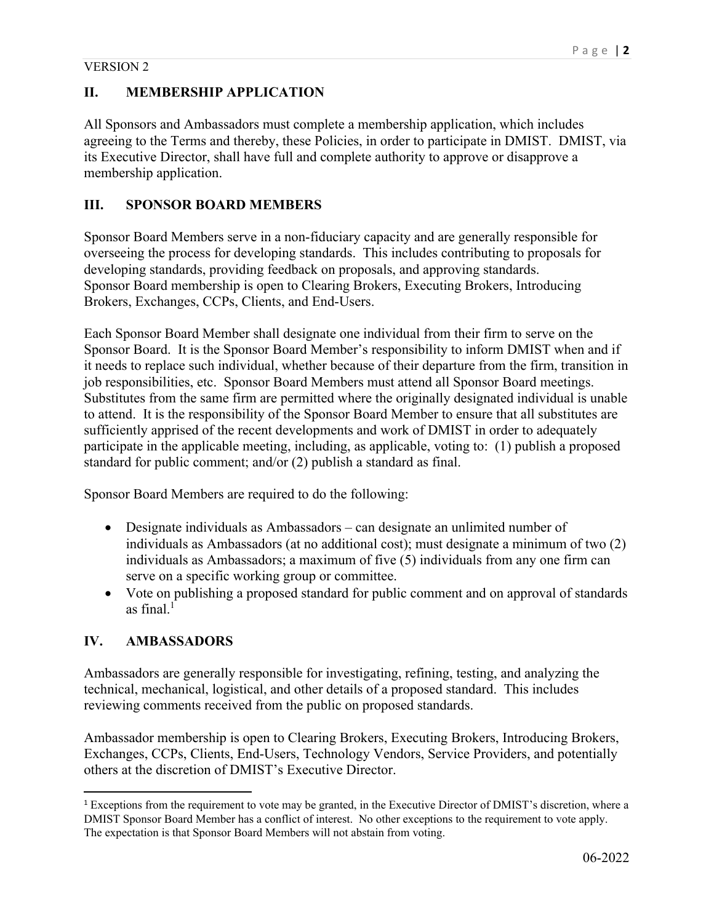All Sponsors and Ambassadors must complete a membership application, which includes agreeing to the Terms and thereby, these Policies, in order to participate in DMIST. DMIST, via its Executive Director, shall have full and complete authority to approve or disapprove a membership application.

# **III. SPONSOR BOARD MEMBERS**

Sponsor Board Members serve in a non-fiduciary capacity and are generally responsible for overseeing the process for developing standards. This includes contributing to proposals for developing standards, providing feedback on proposals, and approving standards. Sponsor Board membership is open to Clearing Brokers, Executing Brokers, Introducing Brokers, Exchanges, CCPs, Clients, and End-Users.

Each Sponsor Board Member shall designate one individual from their firm to serve on the Sponsor Board. It is the Sponsor Board Member's responsibility to inform DMIST when and if it needs to replace such individual, whether because of their departure from the firm, transition in job responsibilities, etc. Sponsor Board Members must attend all Sponsor Board meetings. Substitutes from the same firm are permitted where the originally designated individual is unable to attend. It is the responsibility of the Sponsor Board Member to ensure that all substitutes are sufficiently apprised of the recent developments and work of DMIST in order to adequately participate in the applicable meeting, including, as applicable, voting to: (1) publish a proposed standard for public comment; and/or (2) publish a standard as final.

Sponsor Board Members are required to do the following:

- Designate individuals as Ambassadors can designate an unlimited number of individuals as Ambassadors (at no additional cost); must designate a minimum of two (2) individuals as Ambassadors; a maximum of five (5) individuals from any one firm can serve on a specific working group or committee.
- Vote on publishing a proposed standard for public comment and on approval of standards as final. $<sup>1</sup>$ </sup>

# **IV. AMBASSADORS**

Ambassadors are generally responsible for investigating, refining, testing, and analyzing the technical, mechanical, logistical, and other details of a proposed standard. This includes reviewing comments received from the public on proposed standards.

Ambassador membership is open to Clearing Brokers, Executing Brokers, Introducing Brokers, Exchanges, CCPs, Clients, End-Users, Technology Vendors, Service Providers, and potentially others at the discretion of DMIST's Executive Director.

<sup>1</sup> Exceptions from the requirement to vote may be granted, in the Executive Director of DMIST's discretion, where a DMIST Sponsor Board Member has a conflict of interest. No other exceptions to the requirement to vote apply. The expectation is that Sponsor Board Members will not abstain from voting.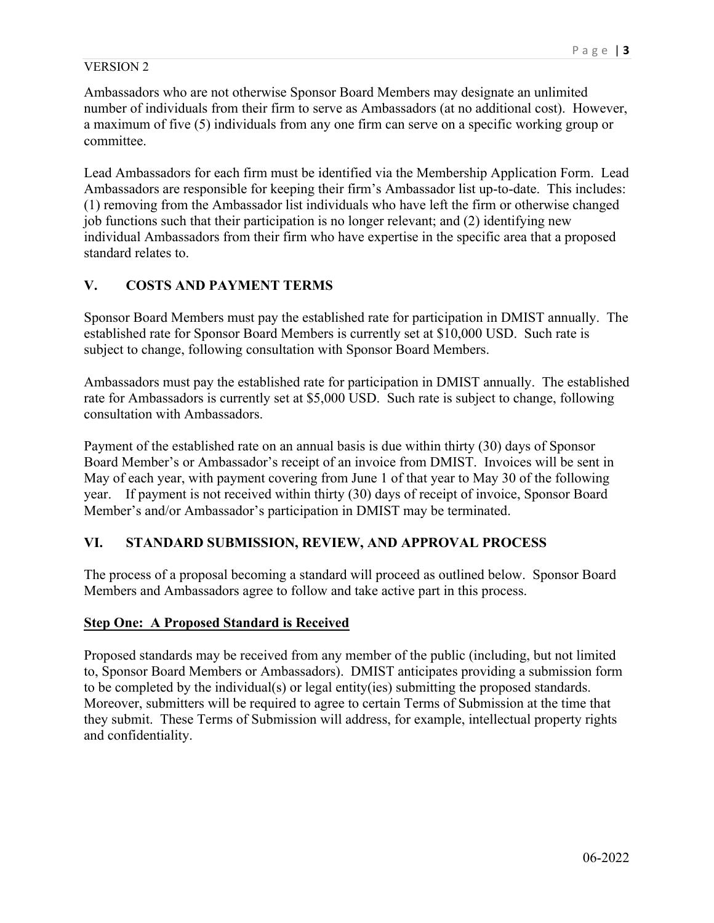Ambassadors who are not otherwise Sponsor Board Members may designate an unlimited number of individuals from their firm to serve as Ambassadors (at no additional cost). However, a maximum of five (5) individuals from any one firm can serve on a specific working group or committee.

Lead Ambassadors for each firm must be identified via the Membership Application Form. Lead Ambassadors are responsible for keeping their firm's Ambassador list up-to-date. This includes: (1) removing from the Ambassador list individuals who have left the firm or otherwise changed job functions such that their participation is no longer relevant; and (2) identifying new individual Ambassadors from their firm who have expertise in the specific area that a proposed standard relates to.

## **V. COSTS AND PAYMENT TERMS**

Sponsor Board Members must pay the established rate for participation in DMIST annually. The established rate for Sponsor Board Members is currently set at \$10,000 USD. Such rate is subject to change, following consultation with Sponsor Board Members.

Ambassadors must pay the established rate for participation in DMIST annually. The established rate for Ambassadors is currently set at \$5,000 USD. Such rate is subject to change, following consultation with Ambassadors.

Payment of the established rate on an annual basis is due within thirty (30) days of Sponsor Board Member's or Ambassador's receipt of an invoice from DMIST. Invoices will be sent in May of each year, with payment covering from June 1 of that year to May 30 of the following year. If payment is not received within thirty (30) days of receipt of invoice, Sponsor Board Member's and/or Ambassador's participation in DMIST may be terminated.

## **VI. STANDARD SUBMISSION, REVIEW, AND APPROVAL PROCESS**

The process of a proposal becoming a standard will proceed as outlined below. Sponsor Board Members and Ambassadors agree to follow and take active part in this process.

## **Step One: A Proposed Standard is Received**

Proposed standards may be received from any member of the public (including, but not limited to, Sponsor Board Members or Ambassadors). DMIST anticipates providing a submission form to be completed by the individual(s) or legal entity(ies) submitting the proposed standards. Moreover, submitters will be required to agree to certain Terms of Submission at the time that they submit. These Terms of Submission will address, for example, intellectual property rights and confidentiality.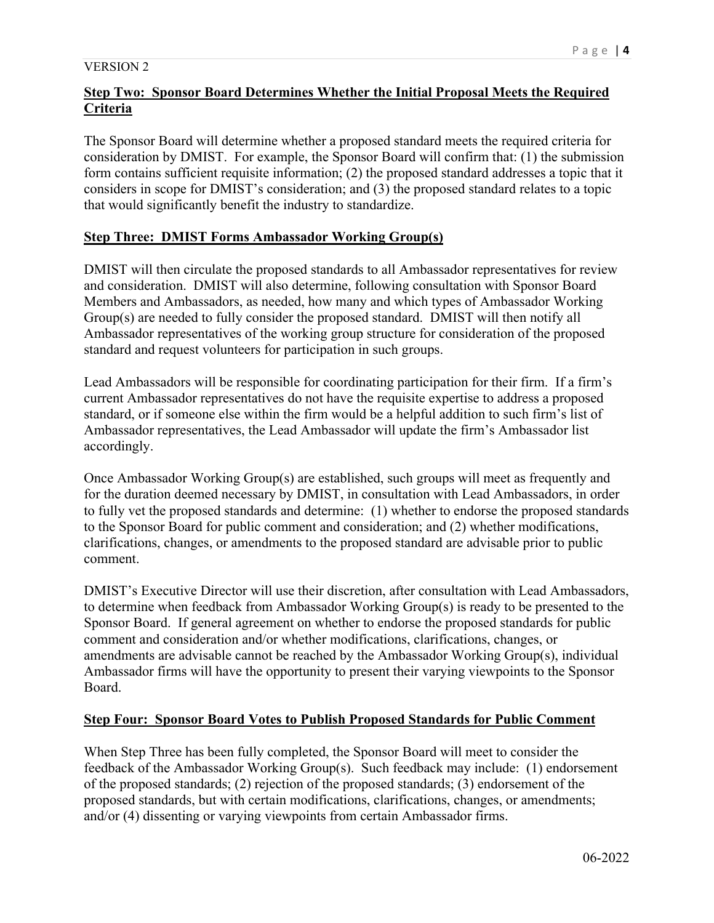# **Step Two: Sponsor Board Determines Whether the Initial Proposal Meets the Required Criteria**

The Sponsor Board will determine whether a proposed standard meets the required criteria for consideration by DMIST. For example, the Sponsor Board will confirm that: (1) the submission form contains sufficient requisite information; (2) the proposed standard addresses a topic that it considers in scope for DMIST's consideration; and (3) the proposed standard relates to a topic that would significantly benefit the industry to standardize.

## **Step Three: DMIST Forms Ambassador Working Group(s)**

DMIST will then circulate the proposed standards to all Ambassador representatives for review and consideration. DMIST will also determine, following consultation with Sponsor Board Members and Ambassadors, as needed, how many and which types of Ambassador Working Group(s) are needed to fully consider the proposed standard. DMIST will then notify all Ambassador representatives of the working group structure for consideration of the proposed standard and request volunteers for participation in such groups.

Lead Ambassadors will be responsible for coordinating participation for their firm. If a firm's current Ambassador representatives do not have the requisite expertise to address a proposed standard, or if someone else within the firm would be a helpful addition to such firm's list of Ambassador representatives, the Lead Ambassador will update the firm's Ambassador list accordingly.

Once Ambassador Working Group(s) are established, such groups will meet as frequently and for the duration deemed necessary by DMIST, in consultation with Lead Ambassadors, in order to fully vet the proposed standards and determine: (1) whether to endorse the proposed standards to the Sponsor Board for public comment and consideration; and (2) whether modifications, clarifications, changes, or amendments to the proposed standard are advisable prior to public comment.

DMIST's Executive Director will use their discretion, after consultation with Lead Ambassadors, to determine when feedback from Ambassador Working Group(s) is ready to be presented to the Sponsor Board. If general agreement on whether to endorse the proposed standards for public comment and consideration and/or whether modifications, clarifications, changes, or amendments are advisable cannot be reached by the Ambassador Working Group(s), individual Ambassador firms will have the opportunity to present their varying viewpoints to the Sponsor Board.

## **Step Four: Sponsor Board Votes to Publish Proposed Standards for Public Comment**

When Step Three has been fully completed, the Sponsor Board will meet to consider the feedback of the Ambassador Working Group(s). Such feedback may include: (1) endorsement of the proposed standards; (2) rejection of the proposed standards; (3) endorsement of the proposed standards, but with certain modifications, clarifications, changes, or amendments; and/or (4) dissenting or varying viewpoints from certain Ambassador firms.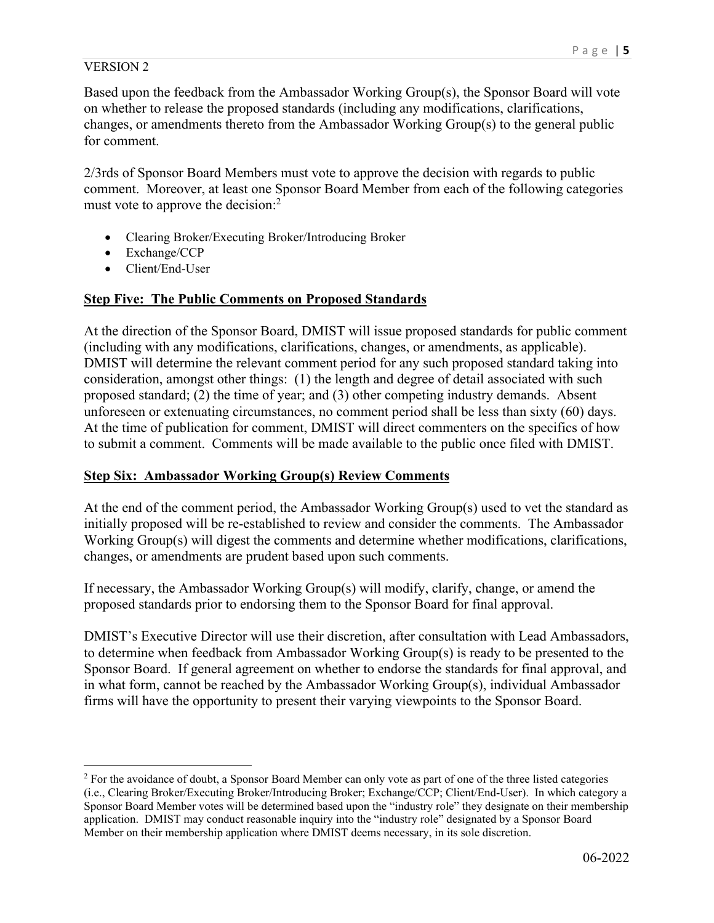Based upon the feedback from the Ambassador Working Group(s), the Sponsor Board will vote on whether to release the proposed standards (including any modifications, clarifications, changes, or amendments thereto from the Ambassador Working Group(s) to the general public for comment.

2/3rds of Sponsor Board Members must vote to approve the decision with regards to public comment. Moreover, at least one Sponsor Board Member from each of the following categories must vote to approve the decision:<sup>2</sup>

- Clearing Broker/Executing Broker/Introducing Broker
- Exchange/CCP
- Client/End-User

## **Step Five: The Public Comments on Proposed Standards**

At the direction of the Sponsor Board, DMIST will issue proposed standards for public comment (including with any modifications, clarifications, changes, or amendments, as applicable). DMIST will determine the relevant comment period for any such proposed standard taking into consideration, amongst other things: (1) the length and degree of detail associated with such proposed standard; (2) the time of year; and (3) other competing industry demands. Absent unforeseen or extenuating circumstances, no comment period shall be less than sixty (60) days. At the time of publication for comment, DMIST will direct commenters on the specifics of how to submit a comment. Comments will be made available to the public once filed with DMIST.

## **Step Six: Ambassador Working Group(s) Review Comments**

At the end of the comment period, the Ambassador Working Group(s) used to vet the standard as initially proposed will be re-established to review and consider the comments. The Ambassador Working Group(s) will digest the comments and determine whether modifications, clarifications, changes, or amendments are prudent based upon such comments.

If necessary, the Ambassador Working Group(s) will modify, clarify, change, or amend the proposed standards prior to endorsing them to the Sponsor Board for final approval.

DMIST's Executive Director will use their discretion, after consultation with Lead Ambassadors, to determine when feedback from Ambassador Working Group(s) is ready to be presented to the Sponsor Board. If general agreement on whether to endorse the standards for final approval, and in what form, cannot be reached by the Ambassador Working Group(s), individual Ambassador firms will have the opportunity to present their varying viewpoints to the Sponsor Board.

<sup>&</sup>lt;sup>2</sup> For the avoidance of doubt, a Sponsor Board Member can only vote as part of one of the three listed categories (i.e., Clearing Broker/Executing Broker/Introducing Broker; Exchange/CCP; Client/End-User). In which category a Sponsor Board Member votes will be determined based upon the "industry role" they designate on their membership application. DMIST may conduct reasonable inquiry into the "industry role" designated by a Sponsor Board Member on their membership application where DMIST deems necessary, in its sole discretion.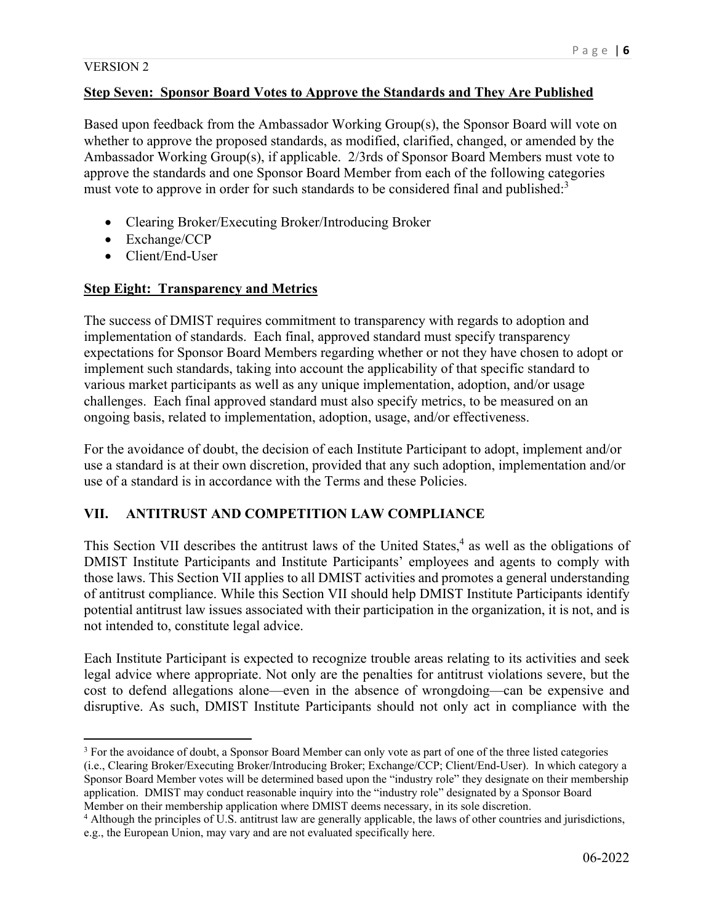### **Step Seven: Sponsor Board Votes to Approve the Standards and They Are Published**

Based upon feedback from the Ambassador Working Group(s), the Sponsor Board will vote on whether to approve the proposed standards, as modified, clarified, changed, or amended by the Ambassador Working Group(s), if applicable. 2/3rds of Sponsor Board Members must vote to approve the standards and one Sponsor Board Member from each of the following categories must vote to approve in order for such standards to be considered final and published:<sup>3</sup>

- Clearing Broker/Executing Broker/Introducing Broker
- Exchange/CCP
- Client/End-User

## **Step Eight: Transparency and Metrics**

The success of DMIST requires commitment to transparency with regards to adoption and implementation of standards. Each final, approved standard must specify transparency expectations for Sponsor Board Members regarding whether or not they have chosen to adopt or implement such standards, taking into account the applicability of that specific standard to various market participants as well as any unique implementation, adoption, and/or usage challenges. Each final approved standard must also specify metrics, to be measured on an ongoing basis, related to implementation, adoption, usage, and/or effectiveness.

For the avoidance of doubt, the decision of each Institute Participant to adopt, implement and/or use a standard is at their own discretion, provided that any such adoption, implementation and/or use of a standard is in accordance with the Terms and these Policies.

## **VII. ANTITRUST AND COMPETITION LAW COMPLIANCE**

This Section VII describes the antitrust laws of the United States,<sup>4</sup> as well as the obligations of DMIST Institute Participants and Institute Participants' employees and agents to comply with those laws. This Section VII applies to all DMIST activities and promotes a general understanding of antitrust compliance. While this Section VII should help DMIST Institute Participants identify potential antitrust law issues associated with their participation in the organization, it is not, and is not intended to, constitute legal advice.

Each Institute Participant is expected to recognize trouble areas relating to its activities and seek legal advice where appropriate. Not only are the penalties for antitrust violations severe, but the cost to defend allegations alone—even in the absence of wrongdoing—can be expensive and disruptive. As such, DMIST Institute Participants should not only act in compliance with the

<sup>&</sup>lt;sup>3</sup> For the avoidance of doubt, a Sponsor Board Member can only vote as part of one of the three listed categories (i.e., Clearing Broker/Executing Broker/Introducing Broker; Exchange/CCP; Client/End-User). In which category a Sponsor Board Member votes will be determined based upon the "industry role" they designate on their membership application. DMIST may conduct reasonable inquiry into the "industry role" designated by a Sponsor Board Member on their membership application where DMIST deems necessary, in its sole discretion. 4

Although the principles of U.S. antitrust law are generally applicable, the laws of other countries and jurisdictions, e.g., the European Union, may vary and are not evaluated specifically here.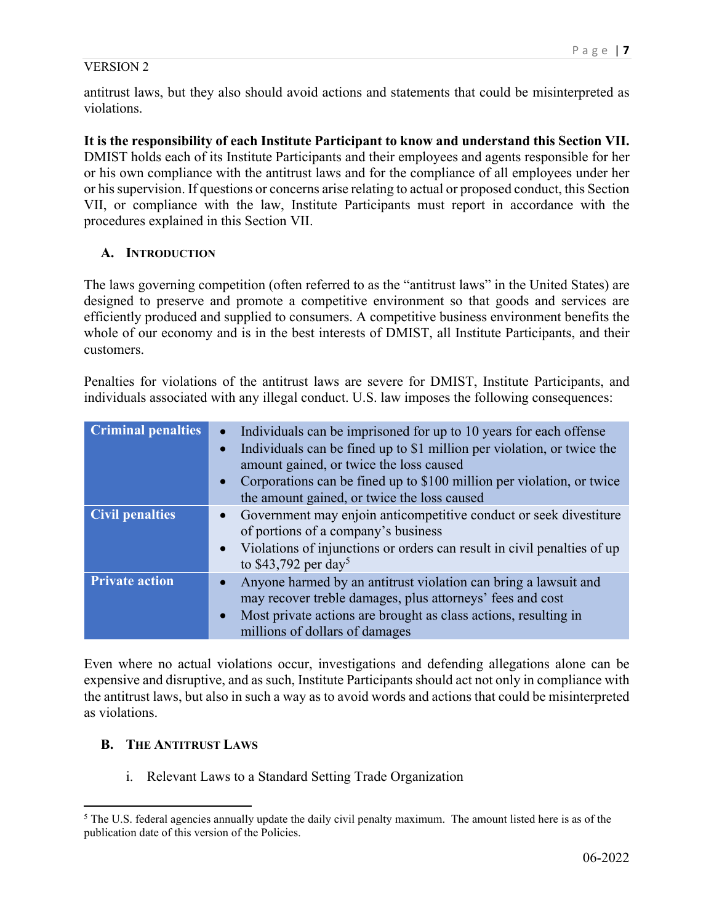antitrust laws, but they also should avoid actions and statements that could be misinterpreted as violations.

## **It is the responsibility of each Institute Participant to know and understand this Section VII.**

DMIST holds each of its Institute Participants and their employees and agents responsible for her or his own compliance with the antitrust laws and for the compliance of all employees under her or his supervision. If questions or concerns arise relating to actual or proposed conduct, this Section VII, or compliance with the law, Institute Participants must report in accordance with the procedures explained in this Section VII.

## **A. INTRODUCTION**

The laws governing competition (often referred to as the "antitrust laws" in the United States) are designed to preserve and promote a competitive environment so that goods and services are efficiently produced and supplied to consumers. A competitive business environment benefits the whole of our economy and is in the best interests of DMIST, all Institute Participants, and their customers.

Penalties for violations of the antitrust laws are severe for DMIST, Institute Participants, and individuals associated with any illegal conduct. U.S. law imposes the following consequences:

| <b>Criminal penalties</b> | Individuals can be imprisoned for up to 10 years for each offense<br>Individuals can be fined up to \$1 million per violation, or twice the<br>amount gained, or twice the loss caused<br>Corporations can be fined up to \$100 million per violation, or twice<br>the amount gained, or twice the loss caused |
|---------------------------|----------------------------------------------------------------------------------------------------------------------------------------------------------------------------------------------------------------------------------------------------------------------------------------------------------------|
| <b>Civil penalties</b>    | • Government may enjoin anticompetitive conduct or seek divestiture<br>of portions of a company's business<br>Violations of injunctions or orders can result in civil penalties of up<br>to \$43,792 per day <sup>5</sup>                                                                                      |
| <b>Private action</b>     | Anyone harmed by an antitrust violation can bring a lawsuit and<br>may recover treble damages, plus attorneys' fees and cost<br>Most private actions are brought as class actions, resulting in<br>millions of dollars of damages                                                                              |

Even where no actual violations occur, investigations and defending allegations alone can be expensive and disruptive, and as such, Institute Participants should act not only in compliance with the antitrust laws, but also in such a way as to avoid words and actions that could be misinterpreted as violations.

## **B. THE ANTITRUST LAWS**

i. Relevant Laws to a Standard Setting Trade Organization

 $<sup>5</sup>$  The U.S. federal agencies annually update the daily civil penalty maximum. The amount listed here is as of the</sup> publication date of this version of the Policies.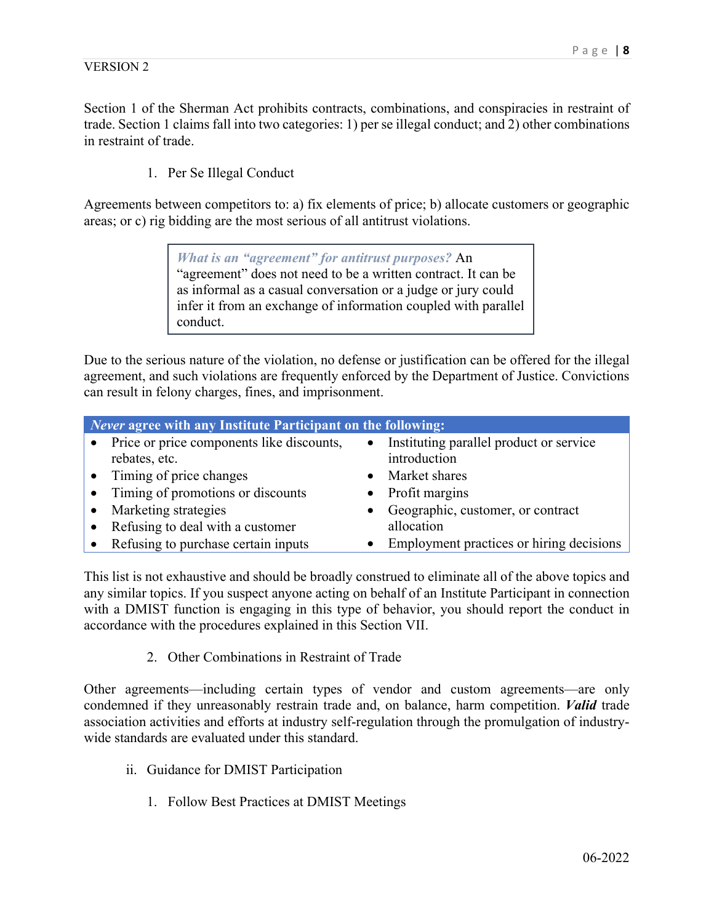Section 1 of the Sherman Act prohibits contracts, combinations, and conspiracies in restraint of trade. Section 1 claims fall into two categories: 1) per se illegal conduct; and 2) other combinations in restraint of trade.

1. Per Se Illegal Conduct

Agreements between competitors to: a) fix elements of price; b) allocate customers or geographic areas; or c) rig bidding are the most serious of all antitrust violations.

> *What is an "agreement" for antitrust purposes?* An "agreement" does not need to be a written contract. It can be as informal as a casual conversation or a judge or jury could infer it from an exchange of information coupled with parallel conduct.

Due to the serious nature of the violation, no defense or justification can be offered for the illegal agreement, and such violations are frequently enforced by the Department of Justice. Convictions can result in felony charges, fines, and imprisonment.

| <i>Never</i> agree with any Institute Participant on the following: |                                            |
|---------------------------------------------------------------------|--------------------------------------------|
| Price or price components like discounts,                           | • Instituting parallel product or service  |
| rebates, etc.                                                       | introduction                               |
| • Timing of price changes                                           | • Market shares                            |
| Timing of promotions or discounts                                   | Profit margins                             |
| Marketing strategies                                                | • Geographic, customer, or contract        |
| Refusing to deal with a customer                                    | allocation                                 |
| Refusing to purchase certain inputs                                 | • Employment practices or hiring decisions |

This list is not exhaustive and should be broadly construed to eliminate all of the above topics and any similar topics. If you suspect anyone acting on behalf of an Institute Participant in connection with a DMIST function is engaging in this type of behavior, you should report the conduct in accordance with the procedures explained in this Section VII.

2. Other Combinations in Restraint of Trade

Other agreements—including certain types of vendor and custom agreements—are only condemned if they unreasonably restrain trade and, on balance, harm competition. *Valid* trade association activities and efforts at industry self-regulation through the promulgation of industrywide standards are evaluated under this standard.

- ii. Guidance for DMIST Participation
	- 1. Follow Best Practices at DMIST Meetings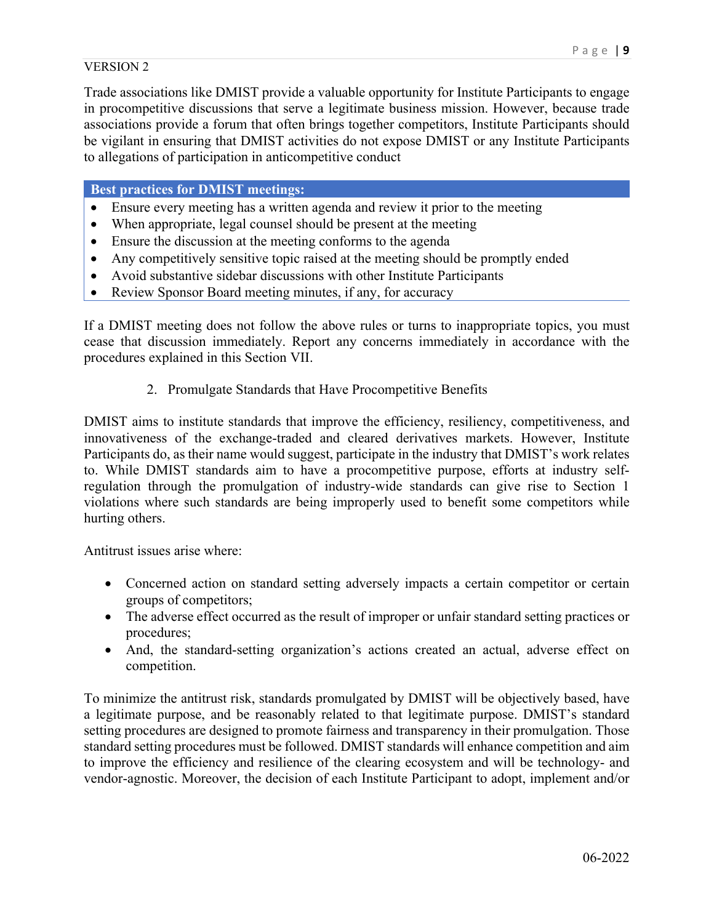Trade associations like DMIST provide a valuable opportunity for Institute Participants to engage in procompetitive discussions that serve a legitimate business mission. However, because trade associations provide a forum that often brings together competitors, Institute Participants should be vigilant in ensuring that DMIST activities do not expose DMIST or any Institute Participants to allegations of participation in anticompetitive conduct

**Best practices for DMIST meetings:** 

- Ensure every meeting has a written agenda and review it prior to the meeting
- When appropriate, legal counsel should be present at the meeting
- Ensure the discussion at the meeting conforms to the agenda
- Any competitively sensitive topic raised at the meeting should be promptly ended
- Avoid substantive sidebar discussions with other Institute Participants
- Review Sponsor Board meeting minutes, if any, for accuracy

If a DMIST meeting does not follow the above rules or turns to inappropriate topics, you must cease that discussion immediately. Report any concerns immediately in accordance with the procedures explained in this Section VII.

2. Promulgate Standards that Have Procompetitive Benefits

DMIST aims to institute standards that improve the efficiency, resiliency, competitiveness, and innovativeness of the exchange-traded and cleared derivatives markets. However, Institute Participants do, as their name would suggest, participate in the industry that DMIST's work relates to. While DMIST standards aim to have a procompetitive purpose, efforts at industry selfregulation through the promulgation of industry-wide standards can give rise to Section 1 violations where such standards are being improperly used to benefit some competitors while hurting others.

Antitrust issues arise where:

- Concerned action on standard setting adversely impacts a certain competitor or certain groups of competitors;
- The adverse effect occurred as the result of improper or unfair standard setting practices or procedures;
- And, the standard-setting organization's actions created an actual, adverse effect on competition.

To minimize the antitrust risk, standards promulgated by DMIST will be objectively based, have a legitimate purpose, and be reasonably related to that legitimate purpose. DMIST's standard setting procedures are designed to promote fairness and transparency in their promulgation. Those standard setting procedures must be followed. DMIST standards will enhance competition and aim to improve the efficiency and resilience of the clearing ecosystem and will be technology- and vendor-agnostic. Moreover, the decision of each Institute Participant to adopt, implement and/or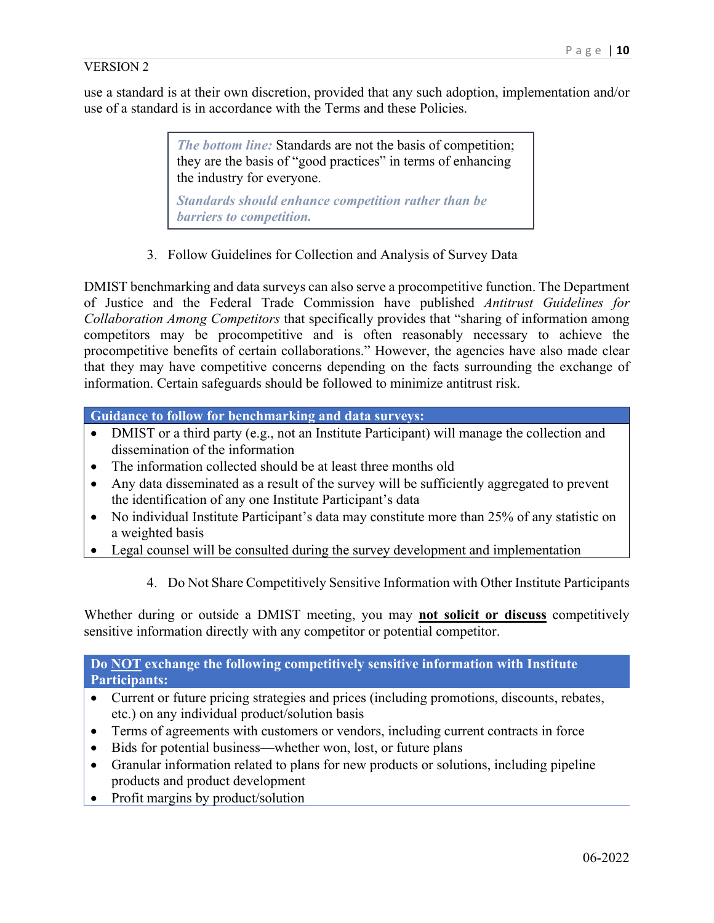use a standard is at their own discretion, provided that any such adoption, implementation and/or use of a standard is in accordance with the Terms and these Policies.

> *The bottom line:* Standards are not the basis of competition; they are the basis of "good practices" in terms of enhancing the industry for everyone.

*Standards should enhance competition rather than be barriers to competition.* 

3. Follow Guidelines for Collection and Analysis of Survey Data

DMIST benchmarking and data surveys can also serve a procompetitive function. The Department of Justice and the Federal Trade Commission have published *Antitrust Guidelines for Collaboration Among Competitors* that specifically provides that "sharing of information among competitors may be procompetitive and is often reasonably necessary to achieve the procompetitive benefits of certain collaborations." However, the agencies have also made clear that they may have competitive concerns depending on the facts surrounding the exchange of information. Certain safeguards should be followed to minimize antitrust risk.

**Guidance to follow for benchmarking and data surveys:**

- DMIST or a third party (e.g., not an Institute Participant) will manage the collection and dissemination of the information
- The information collected should be at least three months old
- Any data disseminated as a result of the survey will be sufficiently aggregated to prevent the identification of any one Institute Participant's data
- No individual Institute Participant's data may constitute more than 25% of any statistic on a weighted basis
- Legal counsel will be consulted during the survey development and implementation
	- 4. Do Not Share Competitively Sensitive Information with Other Institute Participants

Whether during or outside a DMIST meeting, you may **not solicit or discuss** competitively sensitive information directly with any competitor or potential competitor.

**Do NOT exchange the following competitively sensitive information with Institute Participants:** 

- Current or future pricing strategies and prices (including promotions, discounts, rebates, etc.) on any individual product/solution basis
- Terms of agreements with customers or vendors, including current contracts in force
- Bids for potential business—whether won, lost, or future plans
- Granular information related to plans for new products or solutions, including pipeline products and product development
- Profit margins by product/solution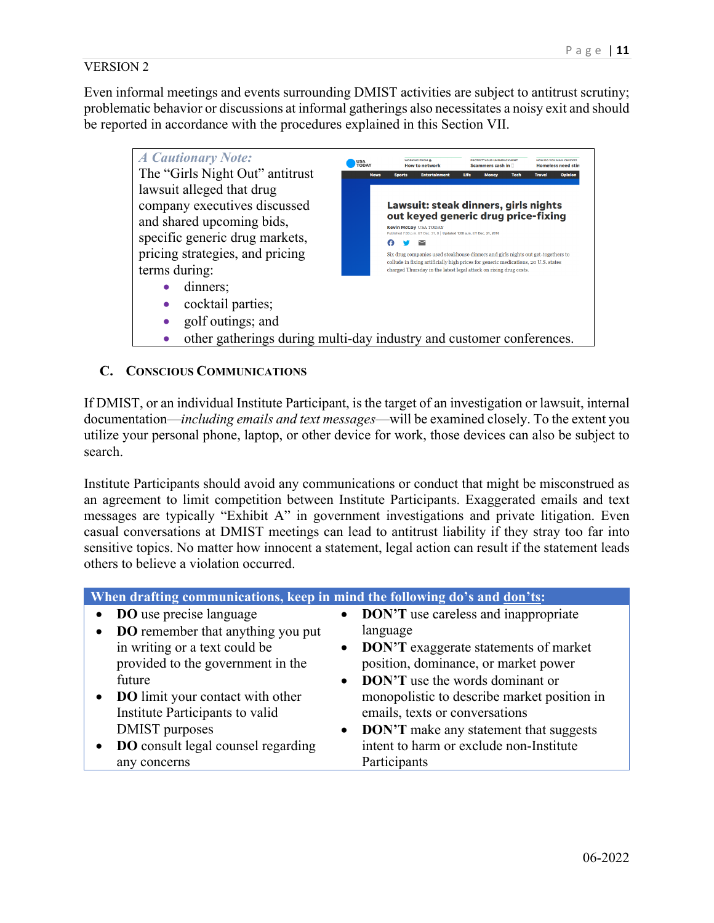Even informal meetings and events surrounding DMIST activities are subject to antitrust scrutiny; problematic behavior or discussions at informal gatherings also necessitates a noisy exit and should be reported in accordance with the procedures explained in this Section VII.



## **C. CONSCIOUS COMMUNICATIONS**

If DMIST, or an individual Institute Participant, is the target of an investigation or lawsuit, internal documentation—*including emails and text messages*—will be examined closely. To the extent you utilize your personal phone, laptop, or other device for work, those devices can also be subject to search.

Institute Participants should avoid any communications or conduct that might be misconstrued as an agreement to limit competition between Institute Participants. Exaggerated emails and text messages are typically "Exhibit A" in government investigations and private litigation. Even casual conversations at DMIST meetings can lead to antitrust liability if they stray too far into sensitive topics. No matter how innocent a statement, legal action can result if the statement leads others to believe a violation occurred.

| <b>DO</b> use precise language<br>• DON'T use careless and inappropriate<br><b>DO</b> remember that anything you put<br>language<br>in writing or a text could be<br><b>DON'T</b> exaggerate statements of market<br>$\bullet$<br>provided to the government in the<br>position, dominance, or market power<br><b>DON'T</b> use the words dominant or<br>future<br>$\bullet$<br><b>DO</b> limit your contact with other<br>monopolistic to describe market position in |
|------------------------------------------------------------------------------------------------------------------------------------------------------------------------------------------------------------------------------------------------------------------------------------------------------------------------------------------------------------------------------------------------------------------------------------------------------------------------|
|                                                                                                                                                                                                                                                                                                                                                                                                                                                                        |
|                                                                                                                                                                                                                                                                                                                                                                                                                                                                        |
|                                                                                                                                                                                                                                                                                                                                                                                                                                                                        |
|                                                                                                                                                                                                                                                                                                                                                                                                                                                                        |
|                                                                                                                                                                                                                                                                                                                                                                                                                                                                        |
|                                                                                                                                                                                                                                                                                                                                                                                                                                                                        |
| Institute Participants to valid<br>emails, texts or conversations                                                                                                                                                                                                                                                                                                                                                                                                      |
| <b>DMIST</b> purposes<br><b>DON'T</b> make any statement that suggests<br>$\bullet$                                                                                                                                                                                                                                                                                                                                                                                    |
| intent to harm or exclude non-Institute<br><b>DO</b> consult legal counsel regarding                                                                                                                                                                                                                                                                                                                                                                                   |
| Participants<br>any concerns                                                                                                                                                                                                                                                                                                                                                                                                                                           |